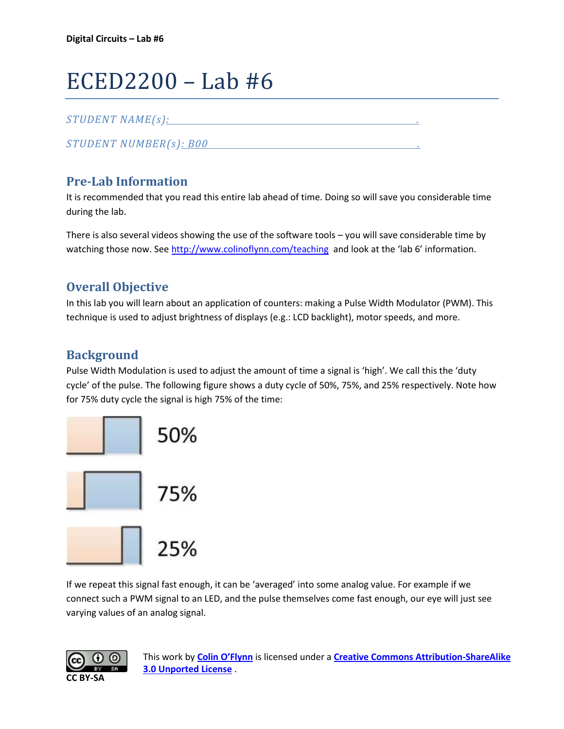# ECED2200 – Lab #6

## *STUDENT NAME(s): .*

*STUDENT NUMBER(s): B00* 

## **Pre-Lab Information**

It is recommended that you read this entire lab ahead of time. Doing so will save you considerable time during the lab.

There is also several videos showing the use of the software tools – you will save considerable time by watching those now. See<http://www.colinoflynn.com/teaching>and look at the 'lab 6' information.

## **Overall Objective**

In this lab you will learn about an application of counters: making a Pulse Width Modulator (PWM). This technique is used to adjust brightness of displays (e.g.: LCD backlight), motor speeds, and more.

## **Background**

Pulse Width Modulation is used to adjust the amount of time a signal is 'high'. We call this the 'duty cycle' of the pulse. The following figure shows a duty cycle of 50%, 75%, and 25% respectively. Note how for 75% duty cycle the signal is high 75% of the time:



If we repeat this signal fast enough, it can be 'averaged' into some analog value. For example if we connect such a PWM signal to an LED, and the pulse themselves come fast enough, our eye will just see varying values of an analog signal.



This work by **[Colin O'Flynn](http://www.newae.com/)** is licensed under a **[Creative Commons Attribution-ShareAlike](http://creativecommons.org/licenses/by-sa/3.0/)  [3.0 Unported License](http://creativecommons.org/licenses/by-sa/3.0/)** .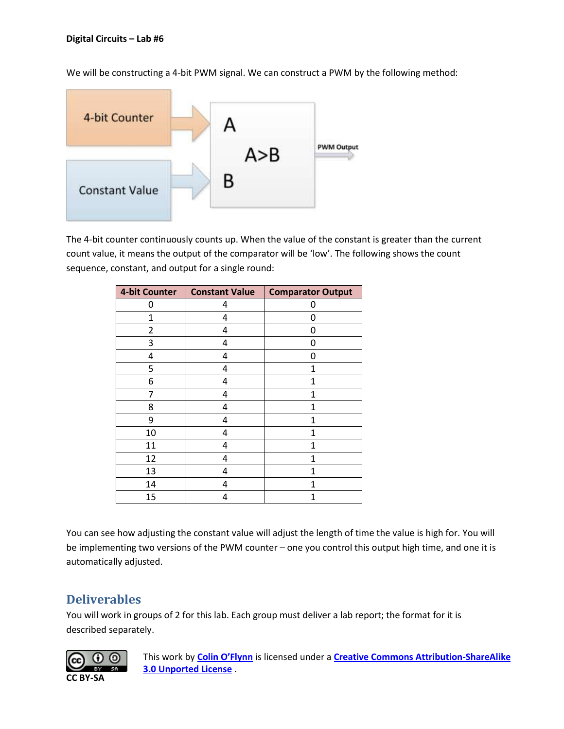We will be constructing a 4-bit PWM signal. We can construct a PWM by the following method:



The 4-bit counter continuously counts up. When the value of the constant is greater than the current count value, it means the output of the comparator will be 'low'. The following shows the count sequence, constant, and output for a single round:

| <b>4-bit Counter</b> | <b>Constant Value</b> | <b>Comparator Output</b> |  |
|----------------------|-----------------------|--------------------------|--|
| 0                    | 4                     | 0                        |  |
| 1                    | 4                     | 0                        |  |
| $\overline{2}$       | 4                     | 0                        |  |
| 3                    | 4                     | 0                        |  |
| 4                    | 4                     | 0                        |  |
| 5                    | 4                     | 1                        |  |
| 6                    | 4                     | 1                        |  |
| 7                    | 4                     | $\mathbf{1}$             |  |
| 8                    | 4                     | 1                        |  |
| 9                    | 4                     | 1                        |  |
| 10                   | 4                     | 1                        |  |
| 11                   | 4                     | 1                        |  |
| 12                   | 4                     | 1                        |  |
| 13                   | 4                     | 1                        |  |
| 14                   | 4                     | 1                        |  |
| 15                   | 4                     | $\mathbf{1}$             |  |

You can see how adjusting the constant value will adjust the length of time the value is high for. You will be implementing two versions of the PWM counter – one you control this output high time, and one it is automatically adjusted.

## **Deliverables**

You will work in groups of 2 for this lab. Each group must deliver a lab report; the format for it is described separately.



This work by **[Colin O'Flynn](http://www.newae.com/)** is licensed under a **[Creative Commons Attribution-ShareAlike](http://creativecommons.org/licenses/by-sa/3.0/)  [3.0 Unported License](http://creativecommons.org/licenses/by-sa/3.0/)** .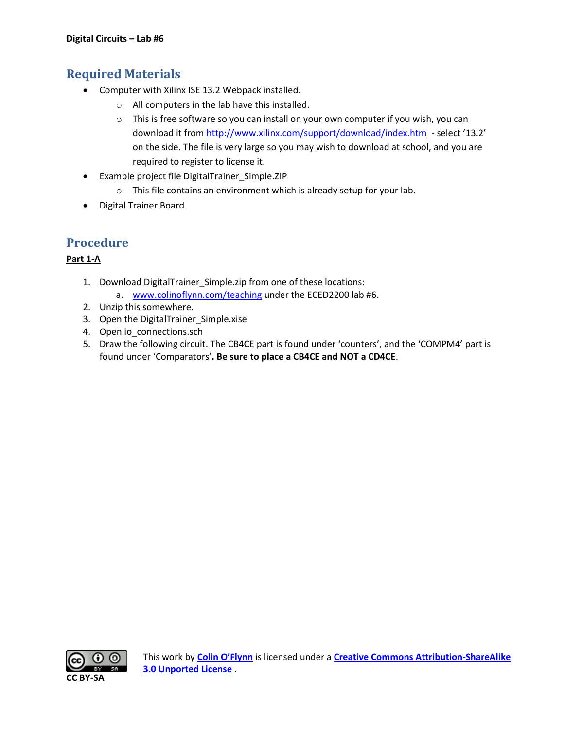## **Required Materials**

- Computer with Xilinx ISE 13.2 Webpack installed.
	- o All computers in the lab have this installed.
	- $\circ$  This is free software so you can install on your own computer if you wish, you can download it from<http://www.xilinx.com/support/download/index.htm>- select '13.2' on the side. The file is very large so you may wish to download at school, and you are required to register to license it.
- Example project file DigitalTrainer\_Simple.ZIP
	- o This file contains an environment which is already setup for your lab.
- Digital Trainer Board

## **Procedure**

#### **Part 1-A**

- 1. Download DigitalTrainer\_Simple.zip from one of these locations:
	- a. [www.colinoflynn.com/teaching](http://www.colinoflynn.com/teaching) under the ECED2200 lab #6.
- 2. Unzip this somewhere.
- 3. Open the DigitalTrainer\_Simple.xise
- 4. Open io connections.sch
- 5. Draw the following circuit. The CB4CE part is found under 'counters', and the 'COMPM4' part is found under 'Comparators'**. Be sure to place a CB4CE and NOT a CD4CE**.

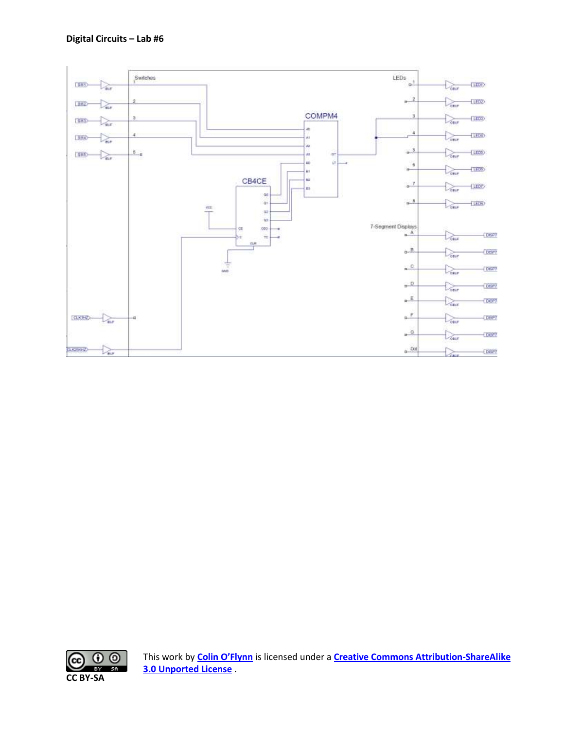



This work by **[Colin O'Flynn](http://www.newae.com/)** is licensed under a **[Creative Commons Attribution-ShareAlike](http://creativecommons.org/licenses/by-sa/3.0/)  [3.0 Unported License](http://creativecommons.org/licenses/by-sa/3.0/)** .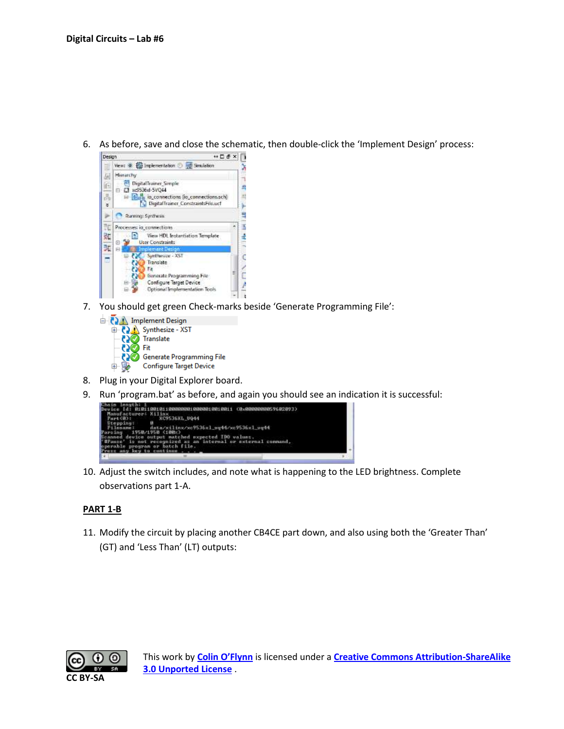6. As before, save and close the schematic, then double-click the 'Implement Design' process:



- 7. You should get green Check-marks beside 'Generate Programming File':
	- **ED** Implement Design **EXA** Synthesize - XST **DO** Fit **(2)** Generate Programming File 中國 **Configure Target Device**
- 8. Plug in your Digital Explorer board.
- 



10. Adjust the switch includes, and note what is happening to the LED brightness. Complete observations part 1-A.

#### **PART 1-B**

11. Modify the circuit by placing another CB4CE part down, and also using both the 'Greater Than' (GT) and 'Less Than' (LT) outputs:

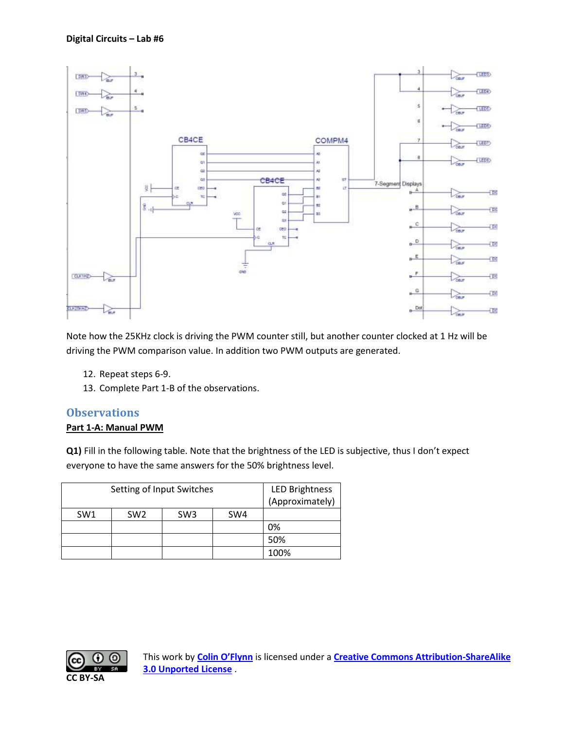

Note how the 25KHz clock is driving the PWM counter still, but another counter clocked at 1 Hz will be driving the PWM comparison value. In addition two PWM outputs are generated.

- 12. Repeat steps 6-9.
- 13. Complete Part 1-B of the observations.

### **Observations**

#### **Part 1-A: Manual PWM**

**Q1)** Fill in the following table. Note that the brightness of the LED is subjective, thus I don't expect everyone to have the same answers for the 50% brightness level.

| Setting of Input Switches |                 |                 |     | <b>LED Brightness</b><br>(Approximately) |
|---------------------------|-----------------|-----------------|-----|------------------------------------------|
| SW <sub>1</sub>           | SW <sub>2</sub> | SW <sub>3</sub> | SW4 |                                          |
|                           |                 |                 |     | 0%                                       |
|                           |                 |                 |     | 50%                                      |
|                           |                 |                 |     | 100%                                     |